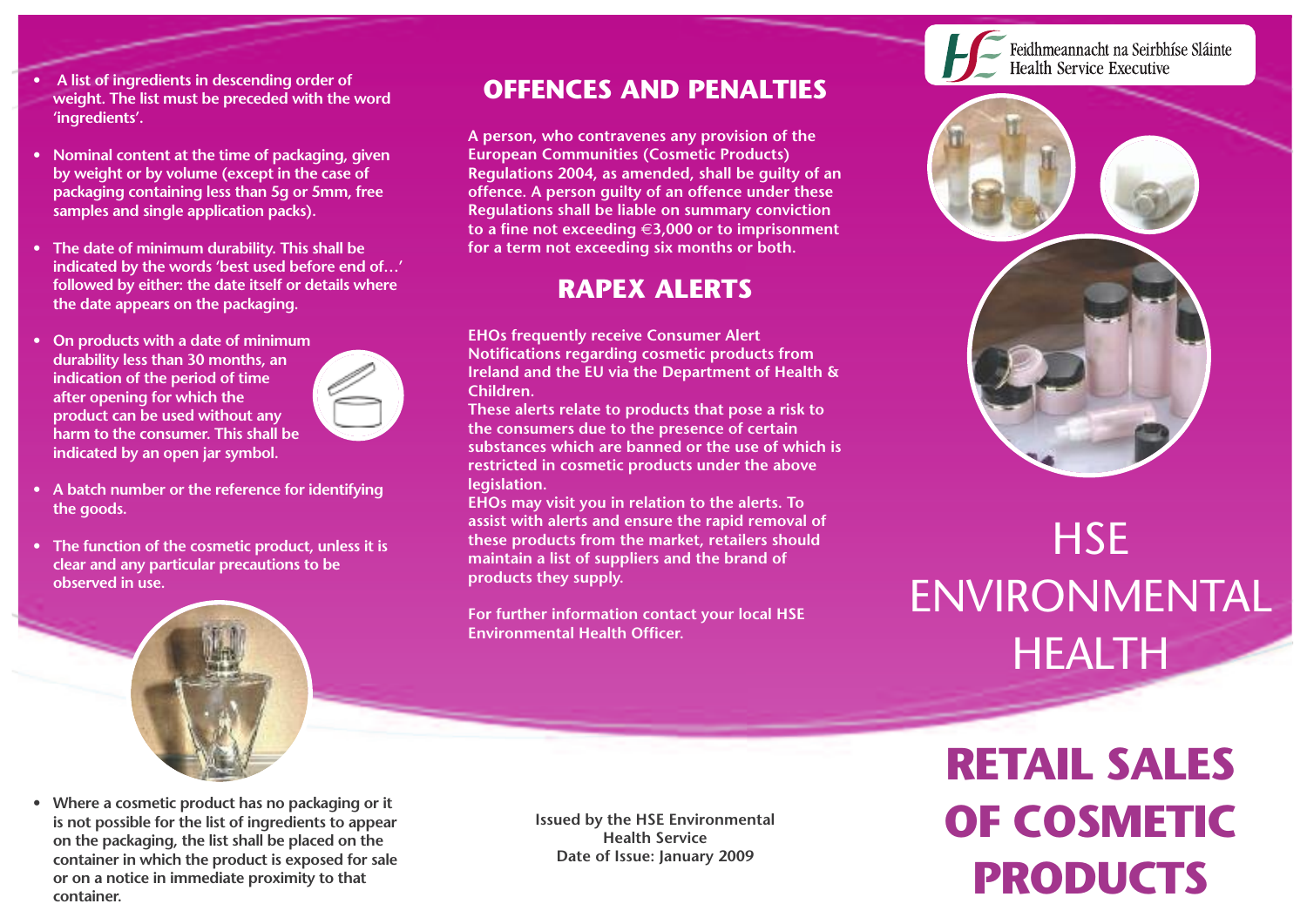- **• A list of ingredients in descending order of weight. The list must be preceded with the word 'ingredients'.**
- **• Nominal content at the time of packaging, given by weight or by volume (except in the case of packaging containing less than 5g or 5mm, free samples and single application packs).**
- **• The date of minimum durability. This shall be indicated by the words 'best used before end of…' followed by either: the date itself or details where the date appears on the packaging.**
- **• On products with a date of minimum durability less than 30 months, an indication of the period of time after opening for which the product can be used without any harm to the consumer. This shall be indicated by an open jar symbol.**



**• The function of the cosmetic product, unless it is clear and any particular precautions to be observed in use.**



**• Where a cosmetic product has no packaging or it is not possible for the list of ingredients to appear on the packaging, the list shall be placed on the container in which the product is exposed for sale or on a notice in immediate proximity to that container.**

**Issued by the HSE Environmental Health Service Date of Issue: January 2009**

#### **OFFENCES AND PENALTIES**

**A person, who contravenes any provision of the European Communities (Cosmetic Products) Regulations 2004, as amended, shall be guilty of an offence. A person guilty of an offence under these Regulations shall be liable on summary conviction to a fine not exceeding** €**3,000 or to imprisonment for a term not exceeding six months or both.**

#### **RAPEX ALERTS**

**EHOs frequently receive Consumer Alert Notifications regarding cosmetic products from Ireland and the EU via the Department of Health & Children.**

**These alerts relate to products that pose a risk to the consumers due to the presence of certain substances which are banned or the use of which is restricted in cosmetic products under the above legislation.**

**EHOs may visit you in relation to the alerts. To assist with alerts and ensure the rapid removal of these products from the market, retailers should maintain a list of suppliers and the brand of products they supply.**

**For further information contact your local HSE Environmental Health Officer.**



# **HSE** ENVIRONMENTAL HEALTH

**RETAIL SALES OF COSMETIC PRODUCTS**